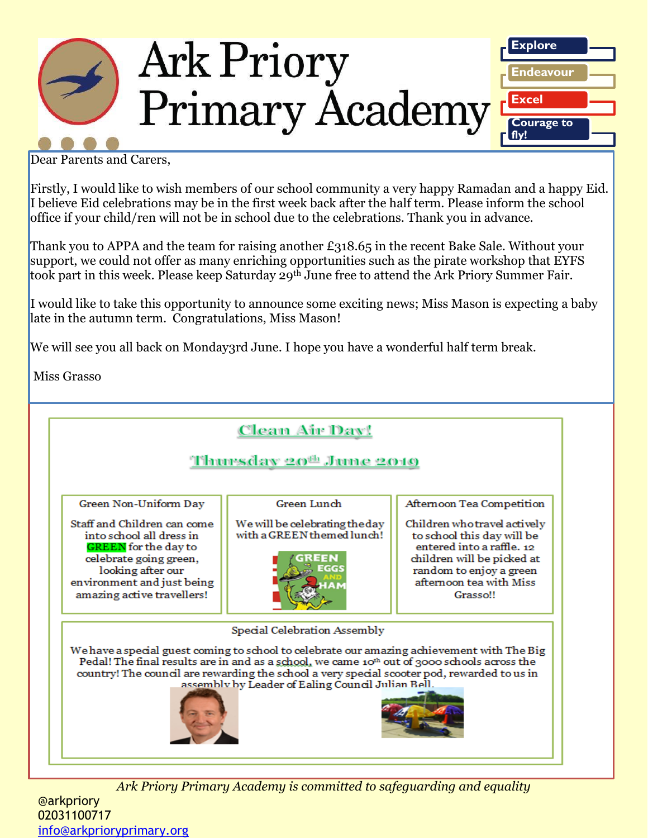

Dear Parents and Carers,

Firstly, I would like to wish members of our school community a very happy Ramadan and a happy Eid. I believe Eid celebrations may be in the first week back after the half term. Please inform the school office if your child/ren will not be in school due to the celebrations. Thank you in advance.

Thank you to APPA and the team for raising another  $\pounds$ 318.65 in the recent Bake Sale. Without your support, we could not offer as many enriching opportunities such as the pirate workshop that EYFS took part in this week. Please keep Saturday 29<sup>th</sup> June free to attend the Ark Priory Summer Fair.

I would like to take this opportunity to announce some exciting news; Miss Mason is expecting a baby late in the autumn term. Congratulations, Miss Mason!

We will see you all back on Monday3rd June. I hope you have a wonderful half term break.

Miss Grasso



*Ark Priory Primary Academy is committed to safeguarding and equality*  @arkpriory 02031100717 [info@arkprioryprimary.org](mailto:info@arkprioryprimary.org)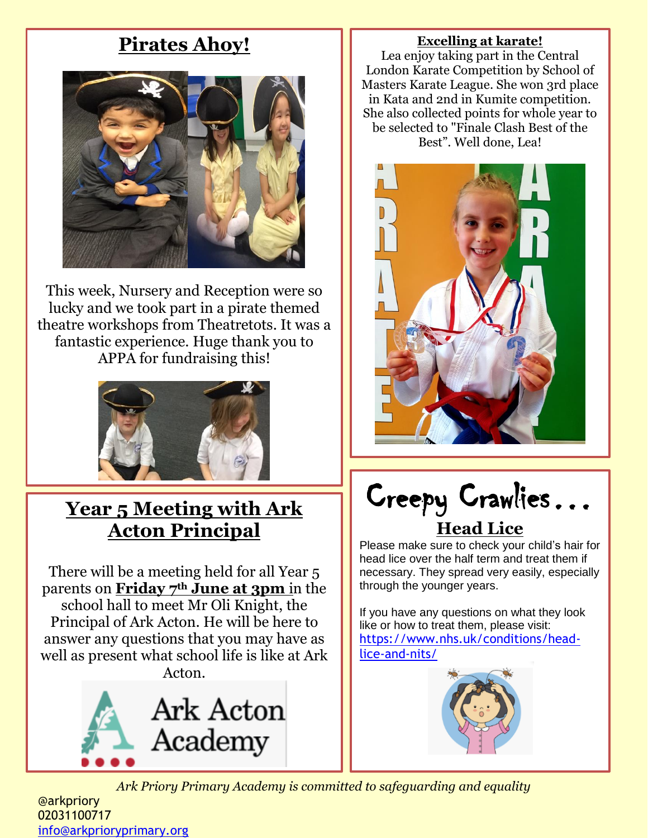# **Pirates Ahoy!**



This week, Nursery and Reception were so lucky and we took part in a pirate themed theatre workshops from Theatretots. It was a fantastic experience. Huge thank you to APPA for fundraising this!



# **Year 5 Meeting with Ark Acton Principal**

There will be a meeting held for all Year 5 parents on **Friday 7th June at 3pm** in the school hall to meet Mr Oli Knight, the Principal of Ark Acton. He will be here to answer any questions that you may have as well as present what school life is like at Ark Acton.



#### **Excelling at karate!**

Lea enjoy taking part in the Central London Karate Competition by School of Masters Karate League. She won 3rd place in Kata and 2nd in Kumite competition. She also collected points for whole year to be selected to "Finale Clash Best of the Best". Well done, Lea!



Creepy Crawlies… **Head Lice**

Please make sure to check your child's hair for head lice over the half term and treat them if necessary. They spread very easily, especially through the younger years.

If you have any questions on what they look like or how to treat them, please visit: [https://www.nhs.uk/conditions/head](https://www.nhs.uk/conditions/head-lice-and-nits/)[lice-and-nits/](https://www.nhs.uk/conditions/head-lice-and-nits/)



*Ark Priory Primary Academy is committed to safeguarding and equality* 

@arkpriory 02031100717 [info@arkprioryprimary.org](mailto:info@arkprioryprimary.org)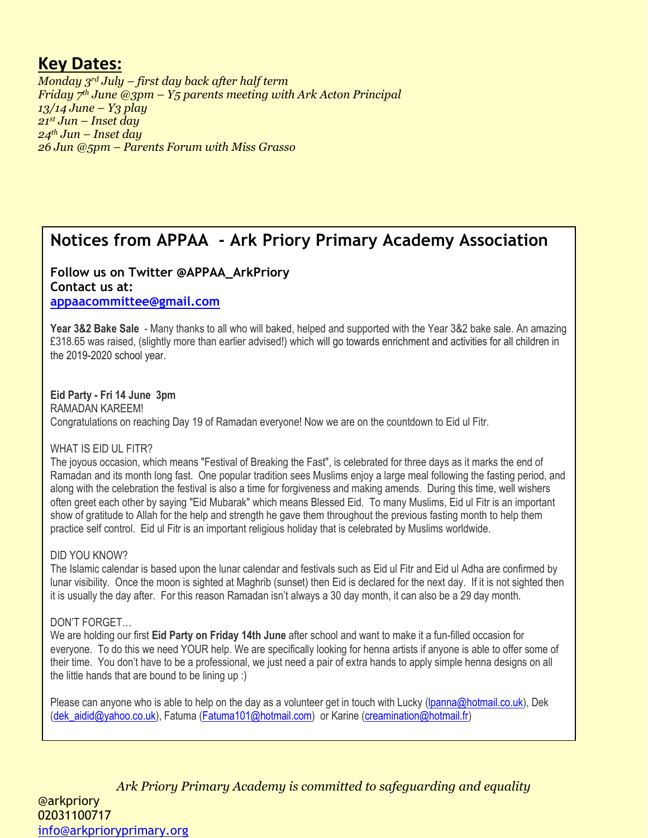## **Key Dates:**

*Monday 3rd July – first day back after half term Friday 7th June @3pm – Y5 parents meeting with Ark Acton Principal 13/14 June – Y3 play 21st Jun – Inset day 24th Jun – Inset day 26 Jun @5pm – Parents Forum with Miss Grasso*

# **Notices from APPAA - Ark Priory Primary Academy Association**

### **Follow us on Twitter @APPAA\_ArkPriory Contact us at:**

**[appaacommittee@gmail.com](mailto:appaacommittee@gmail.com)**

**Year 3&2 Bake Sale** - Many thanks to all who will baked, helped and supported with the Year 3&2 bake sale. An amazing £318.65 was raised, (slightly more than earlier advised!) which will go towards enrichment and activities for all children in the 2019-2020 school year.

#### **Eid Party - Fri 14 June 3pm**

RAMADAN KAREEM! Congratulations on reaching Day 19 of Ramadan everyone! Now we are on the countdown to Eid ul Fitr.

#### WHAT IS EID UL FITR?

The joyous occasion, which means "Festival of Breaking the Fast", is celebrated for three days as it marks the end of Ramadan and its month long fast. One popular tradition sees Muslims enjoy a large meal following the fasting period, and along with the celebration the festival is also a time for forgiveness and making amends. During this time, well wishers often greet each other by saying "Eid Mubarak" which means Blessed Eid. To many Muslims, Eid ul Fitr is an important show of gratitude to Allah for the help and strength he gave them throughout the previous fasting month to help them practice self control. Eid ul Fitr is an important religious holiday that is celebrated by Muslims worldwide.

#### DID YOU KNOW?

The Islamic calendar is based upon the lunar calendar and festivals such as Eid ul Fitr and Eid ul Adha are confirmed by lunar visibility. Once the moon is sighted at Maghrib (sunset) then Eid is declared for the next day. If it is not sighted then it is usually the day after. For this reason Ramadan isn't always a 30 day month, it can also be a 29 day month.

#### DON'T FORGET…

We are holding our first **Eid Party on Friday 14th June** after school and want to make it a fun-filled occasion for everyone. To do this we need YOUR help. We are specifically looking for henna artists if anyone is able to offer some of their time. You don't have to be a professional, we just need a pair of extra hands to apply simple henna designs on all the little hands that are bound to be lining up :)

Please can anyone who is able to help on the day as a volunteer get in touch with Lucky [\(lpanna@hotmail.co.uk\)](mailto:lpanna@hotmail.co.uk), Dek [\(dek\\_aidid@yahoo.co.uk\)](mailto:dek_aidid@yahoo.co.uk), Fatuma [\(Fatuma101@hotmail.com\)](mailto:Fatuma101@hotmail.com) or Karine [\(creamination@hotmail.fr\)](mailto:creamination@hotmail.fr)

*Ark Priory Primary Academy is committed to safeguarding and equality*  @arkpriory 02031100717 [info@arkprioryprimary.org](mailto:info@arkprioryprimary.org)